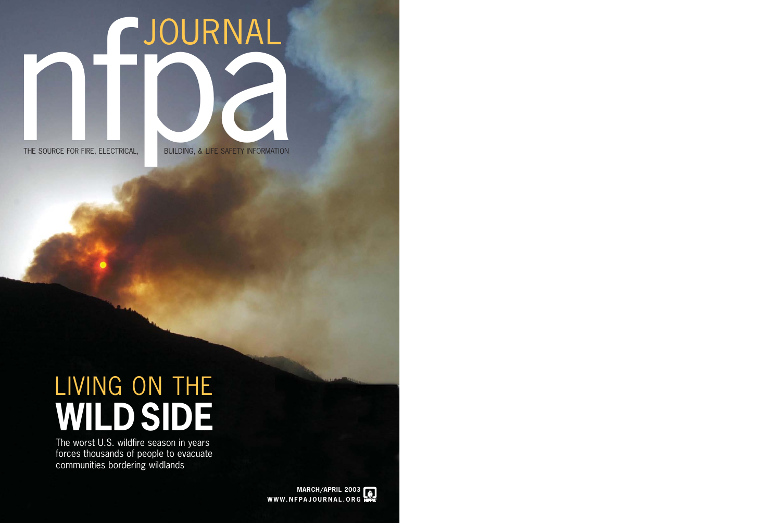## LIVING ON THE **WILDSIDE**

The worst U.S. wildfire season in years forces thousands of people to evacuate communities bordering wildlands

# THE SOURCE FOR FIRE, ELECTRICAL, JOURNAL

BUILDING, & LIFE SAFETY INFORMATION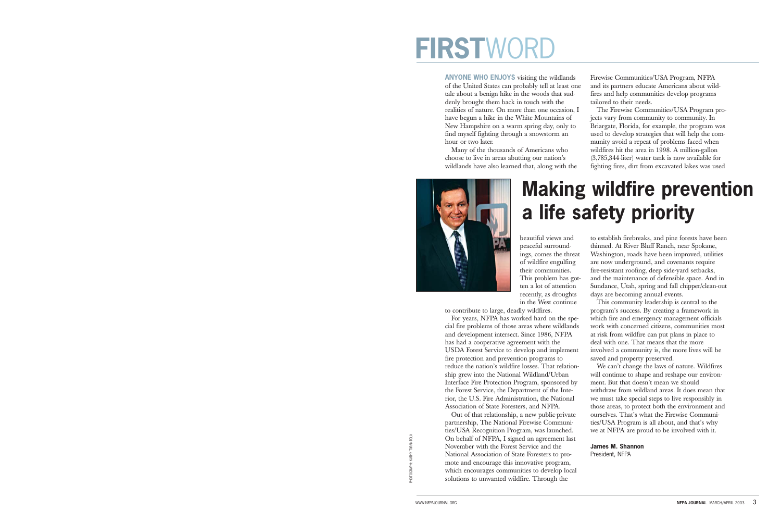### **FIRSTW**

**ANYONE WHO ENJOYS** visiting the wildlands of the United States can probably tell at least one tale about a benign hike in the woods that suddenly brought them back in touch with the realities of nature. On more than one occasion, I have begun a hike in the White Mountains of New Hampshire on a warm spring day, only to find myself fighting through a snowstorm an hour or two later.

Many of the thousands of Americans who choose to live in areas abutting our nation's wildlands have also learned that, along with the

beautiful views and peaceful surroundings, comes the threat of wildfire engulfing their communities. This problem has gotten a lot of attention recently, as droughts in the West continue

to contribute to large, deadly wildfires.

For years, NFPA has worked hard on the special fire problems of those areas where wildlands and development intersect. Since 1986, NFPA has had a cooperative agreement with the USDA Forest Service to develop and implement fire protection and prevention programs to reduce the nation's wildfire losses. That relationship grew into the National Wildland/Urban Interface Fire Protection Program, sponsored by the Forest Service, the Department of the Interior, the U.S. Fire Administration, the National Association of State Foresters, and NFPA.

Out of that relationship, a new public-private partnership, The National Firewise Communities/USA Recognition Program, was launched. On behalf of NFPA, I signed an agreement last November with the Forest Service and the National Association of State Foresters to promote and encourage this innovative program, which encourages communities to develop local solutions to unwanted wildfire. Through the



Firewise Communities/USA Program, NFPA and its partners educate Americans about wildfires and help communities develop programs tailored to their needs.

The Firewise Communities/USA Program projects vary from community to community. In Briargate, Florida, for example, the program was used to develop strategies that will help the community avoid a repeat of problems faced when wildfires hit the area in 1998. A million-gallon (3,785,344-liter) water tank is now available for fighting fires, dirt from excavated lakes was used

to establish firebreaks, and pine forests have been thinned. At River Bluff Ranch, near Spokane, Washington, roads have been improved, utilities are now underground, and covenants require fire-resistant roofing, deep side-yard setbacks, and the maintenance of defensible space. And in Sundance, Utah, spring and fall chipper/clean-out days are becoming annual events.

This community leadership is central to the program's success. By creating a framework in which fire and emergency management officials work with concerned citizens, communities most at risk from wildfire can put plans in place to deal with one. That means that the more involved a community is, the more lives will be saved and property preserved.

We can't change the laws of nature. Wildfires will continue to shape and reshape our environment. But that doesn't mean we should withdraw from wildland areas. It does mean that we must take special steps to live responsibly in those areas, to protect both the environment and ourselves. That's what the Firewise Communities/USA Program is all about, and that's why we at NFPA are proud to be involved with it.

#### **James M. Shannon**

President, NFPA

PHOTOGRAPH: KATHY TARANTOLA

### **Making wildfire prevention a life safety priority**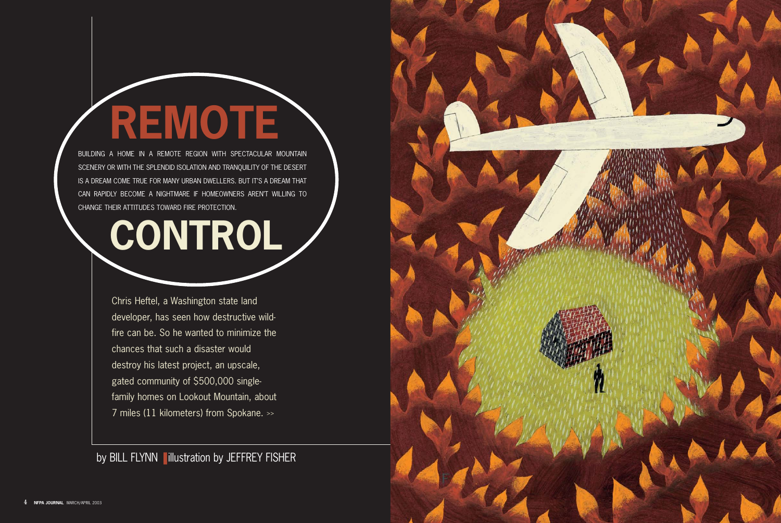Chris Heftel, a Washington state land developer, has seen how destructive wildfire can be. So he wanted to minimize the chances that such a disaster would destroy his latest project, an upscale, gated community of \$500,000 singlefamily homes on Lookout Mountain, about 7 miles (11 kilometers) from Spokane. >>

by BILL FLYNN lillustration by JEFFREY FISHER



BUILDING A HOME IN A REMOTE REGION WITH SPECTACULAR MOUNTAIN SCENERY OR WITH THE SPLENDID ISOLATION AND TRANQUILITY OF THE DESERT IS A DREAM COME TRUE FOR MANY URBAN DWELLERS. BUT IT'S A DREAM THAT CAN RAPIDLY BECOME A NIGHTMARE IF HOMEOWNERS AREN'T WILLING TO CHANGE THEIR ATTITUDES TOWARD FIRE PROTECTION.

## **REMOTE**

## **CONTROL**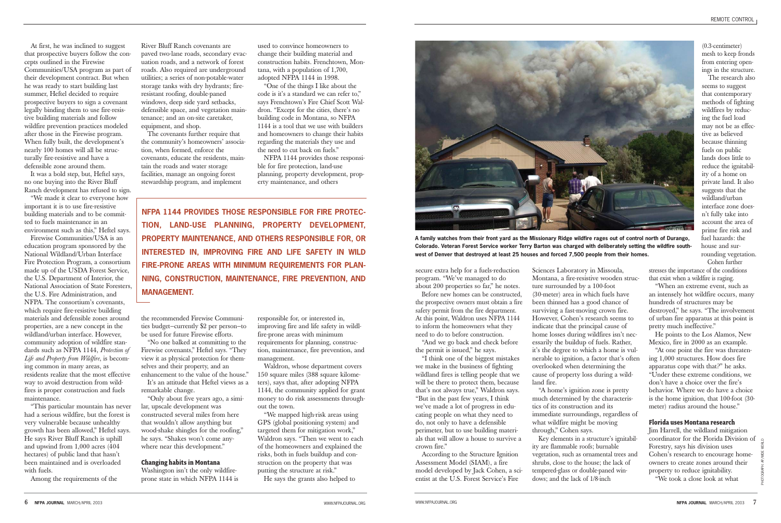secure extra help for a fuels-reduction program. "We've managed to do about 200 properties so far," he notes.

Before new homes can be constructed, the prospective owners must obtain a fire safety permit from the fire department. At this point, Waldron uses NFPA 1144 to inform the homeowners what they need to do to before construction.

"And we go back and check before the permit is issued," he says.

"I think one of the biggest mistakes we make in the business of fighting wildland fires is telling people that we will be there to protect them, because that's not always true," Waldron says. "But in the past few years, I think we've made a lot of progress in educating people on what they need to do, not only to have a defensible perimeter, but to use building materials that will allow a house to survive a crown fire."

According to the Structure Ignition Assessment Model (SIAM), a fire model developed by Jack Cohen, a scientist at the U.S. Forest Service's Fire

Sciences Laboratory in Missoula, Montana, a fire-resistive wooden structure surrounded by a 100-foot (30-meter) area in which fuels have been thinned has a good chance of surviving a fast-moving crown fire. However, Cohen's research seems to indicate that the principal cause of home losses during wildfires isn't necessarily the buildup of fuels. Rather, it's the degree to which a home is vulnerable to ignition, a factor that's often overlooked when determining the cause of property loss during a wildland fire.

"A home's ignition zone is pretty much determined by the characteristics of its construction and its immediate surroundings, regardless of what wildfire might be moving through," Cohen says.

Key elements in a structure's ignitability are flammable roofs; burnable vegetation, such as ornamental trees and shrubs, close to the house; the lack of tempered-glass or double-paned windows; and the lack of 1/8-inch

(0.3-centimeter) mesh to keep fronds from entering openings in the structure.

The research also seems to suggest that contemporary methods of fighting wildfires by reducing the fuel load may not be as effective as believed because thinning fuels on public lands does little to reduce the ignitability of a home on private land. It also suggests that the wildland/urban interface zone doesn't fully take into account the area of prime fire risk and fuel hazards: the house and surrounding vegetation. Cohen further

stresses the importance of the conditions that exist when a wildfire is raging.

"When an extreme event, such as an intensely hot wildfire occurs, many hundreds of structures may be destroyed," he says. "The involvement of urban fire apparatus at this point is pretty much ineffective."

He points to the Los Alamos, New Mexico, fire in 2000 as an example.

"At one point the fire was threatening 1,000 structures. How does fire apparatus cope with that?" he asks. "Under these extreme conditions, we don't have a choice over the fire's behavior. Where we do have a choice is the home ignition, that 100-foot (30 meter) radius around the house."

#### **Florida uses Montana research**

Jim Harrell, the wildland mitigation coordinator for the Florida Division of Forestry, says his division uses Cohen's research to encourage homeowners to create zones around their property to reduce ignitability. "We took a close look at what

PHOTOGRAPH: AP/WIDE WORLD

At first, he was inclined to suggest that prospective buyers follow the concepts outlined in the Firewise Communities/USA program as part of their development contract. But when he was ready to start building last summer, Heftel decided to require prospective buyers to sign a covenant legally binding them to use fire-resistive building materials and follow wildfire prevention practices modeled after those in the Firewise program. When fully built, the development's nearly 100 homes will all be structurally fire-resistive and have a defensible zone around them.

It was a bold step, but, Heftel says, no one buying into the River Bluff Ranch development has refused to sign.

"We made it clear to everyone how important it is to use fire-resistive building materials and to be committed to fuels maintenance in an environment such as this," Heftel says.

Firewise Communities/USA is an education program sponsored by the National Wildland/Urban Interface Fire Protection Program, a consortium made up of the USDA Forest Service, the U.S. Department of Interior, the National Association of State Foresters, the U.S. Fire Administration, and NFPA. The consortium's covenants, which require fire-resistive building materials and defensible zones around properties, are a new concept in the wildland/urban interface. However, community adoption of wildfire standards such as NFPA 1144, *Protection of Life and Property from Wildfire*, is becoming common in many areas, as residents realize that the most effective way to avoid destruction from wildfires is proper construction and fuels maintenance.

"This particular mountain has never had a serious wildfire, but the forest is very vulnerable because unhealthy growth has been allowed," Heftel says. He says River Bluff Ranch is uphill and upwind from 1,000 acres (404 hectares) of public land that hasn't been maintained and is overloaded with fuels.

Among the requirements of the

River Bluff Ranch covenants are paved two-lane roads, secondary evacuation roads, and a network of forest roads. Also required are underground utilities; a series of non-potable-water storage tanks with dry hydrants; fireresistant roofing, double-paned windows, deep side yard setbacks, defensible space, and vegetation maintenance; and an on-site caretaker, equipment, and shop.

The covenants further require that the community's homeowners' association, when formed, enforce the covenants, educate the residents, maintain the roads and water storage facilities, manage an ongoing forest stewardship program, and implement

the recommended Firewise Communities budget—currently \$2 per person—to be used for future Firewise efforts.

"No one balked at committing to the Firewise covenants," Heftel says. "They view it as physical protection for themselves and their property, and an enhancement to the value of the house."

It's an attitude that Heftel views as a remarkable change.

"Only about five years ago, a similar, upscale development was constructed several miles from here that wouldn't allow anything but wood-shake shingles for the roofing," he says. "Shakes won't come anywhere near this development."

#### **Changing habits in Montana**

Washington isn't the only wildfireprone state in which NFPA 1144 is

used to convince homeowners to change their building material and construction habits. Frenchtown, Montana, with a population of 1,700, adopted NFPA 1144 in 1998.

"One of the things I like about the code is it's a standard we can refer to," says Frenchtown's Fire Chief Scott Waldron. "Except for the cities, there's no building code in Montana, so NFPA 1144 is a tool that we use with builders and homeowners to change their habits regarding the materials they use and the need to cut back on fuels."

NFPA 1144 provides those responsible for fire protection, land-use planning, property development, property maintenance, and others

responsible for, or interested in, improving fire and life safety in wildlfire-prone areas with minimum requirements for planning, construction, maintenance, fire prevention, and management.

Waldron, whose department covers 150 square miles (388 square kilometers), says that, after adopting NFPA 1144, the community applied for grant money to do risk assessments throughout the town.

"We mapped high-risk areas using GPS (global positioning system) and targeted them for mitigation work," Waldron says. "Then we went to each of the homeowners and explained the risks, both in fuels buildup and construction on the property that was putting the structure at risk."

He says the grants also helped to



**A family watches from their front yard as the Missionary Ridge wildfire rages out of control north of Durango, Colorado. Veteran Forest Service worker Terry Barton was charged with deliberately setting the wildfire southwest of Denver that destroyed at least 25 houses and forced 7,500 people from their homes.**

**NFPA 1144 PROVIDES THOSE RESPONSIBLE FOR FIRE PROTEC-TION, LAND-USE PLANNING, PROPERTY DEVELOPMENT, PROPERTY MAINTENANCE, AND OTHERS RESPONSIBLE FOR, OR INTERESTED IN, IMPROVING FIRE AND LIFE SAFETY IN WILD FIRE-PRONE AREAS WITH MINIMUM REQUIREMENTS FOR PLAN-NING, CONSTRUCTION, MAINTENANCE, FIRE PREVENTION, AND MANAGEMENT.**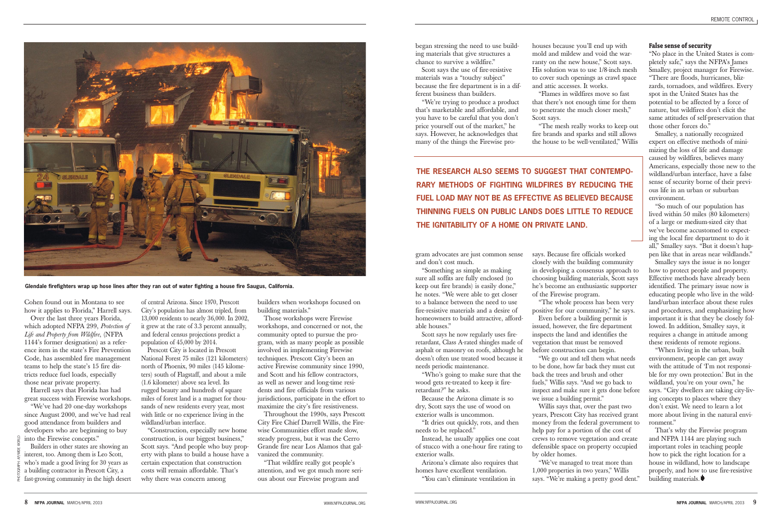began stressing the need to use building materials that give structures a chance to survive a wildfire."

Scott says the use of fire-resistive materials was a "touchy subject" because the fire department is in a different business than builders.

"We're trying to produce a product that's marketable and affordable, and you have to be careful that you don't price yourself out of the market," he says. However, he acknowledges that many of the things the Firewise pro-

gram advocates are just common sense and don't cost much.

"Something as simple as making sure all soffits are fully enclosed (to keep out fire brands) is easily done," he notes. "We were able to get closer to a balance between the need to use fire-resistive materials and a desire of homeowners to build attractive, affordable houses."

"Flames in wildfires move so fast that there's not enough time for them to penetrate the much closer mesh," Scott says.

Scott says he now regularly uses fireretardant, Class A-rated shingles made of asphalt or masonry on roofs, although he doesn't often use treated wood because it needs periodic maintenance.

"Who's going to make sure that the wood gets re-treated to keep it fireretardant?" he asks.

Because the Arizona climate is so dry, Scott says the use of wood on exterior walls is uncommon.

"It dries out quickly, rots, and then needs to be replaced."

Instead, he usually applies one coat of stucco with a one-hour fire rating to exterior walls.

Arizona's climate also requires that homes have excellent ventilation.

"You can't eliminate ventilation in

houses because you'll end up with mold and mildew and void the warranty on the new house," Scott says. His solution was to use 1/8-inch mesh to cover such openings as crawl space and attic accesses. It works.

"The mesh really works to keep out fire brands and sparks and still allows the house to be well-ventilated," Willis

says. Because fire officials worked closely with the building community in developing a consensus approach to choosing building materials, Scott says he's become an enthusiastic supporter of the Firewise program.

"The whole process has been very positive for our community," he says. Even before a building permit is issued, however, the fire department inspects the land and identifies the vegetation that must be removed before construction can begin.

"We go out and tell them what needs to be done, how far back they must cut back the trees and brush and other fuels," Willis says. "And we go back to inspect and make sure it gets done before we issue a building permit."

Willis says that, over the past two years, Prescott City has received grant money from the federal government to help pay for a portion of the cost of crews to remove vegetation and create defensible space on property occupied by older homes.

"We've managed to treat more than 1,000 properties in two years," Willis says. "We're making a pretty good dent."

#### **False sense of security**

"No place in the United States is completely safe," says the NFPA's James Smalley, project manager for Firewise. "There are floods, hurricanes, blizzards, tornadoes, and wildfires. Every spot in the United States has the potential to be affected by a force of nature, but wildfires don't elicit the same attitudes of self-preservation that those other forces do."

Smalley, a nationally recognized expert on effective methods of minimizing the loss of life and damage caused by wildfires, believes many Americans, especially those new to the wildland/urban interface, have a false sense of security borne of their previous life in an urban or suburban environment.

"So much of our population has lived within 50 miles (80 kilometers) of a large or medium-sized city that we've become accustomed to expecting the local fire department to do it all," Smalley says. "But it doesn't happen like that in areas near wildlands."

Smalley says the issue is no longer how to protect people and property. Effective methods have already been identified. The primary issue now is educating people who live in the wildland/urban interface about these rules and procedures, and emphasizing how important it is that they be closely followed. In addition, Smalley says, it requires a change in attitude among these residents of remote regions.

"When living in the urban, built environment, people can get away with the attitude of 'I'm not responsible for my own protection.' But in the wildland, you're on your own," he says. "City dwellers are taking city-living concepts to places where they don't exist. We need to learn a lot more about living in the natural environment."

That's why the Firewise program and NFPA 1144 are playing such important roles in teaching people how to pick the right location for a house in wildland, how to landscape properly, and how to use fire-resistive building materials.

Cohen found out in Montana to see how it applies to Florida," Harrell says.

Over the last three years Florida, which adopted NFPA 299, *Protection of Life and Property from Wildfire*, (NFPA 1144's former designation) as a reference item in the state's Fire Prevention Code, has assembled fire management teams to help the state's 15 fire districts reduce fuel loads, especially those near private property.

Harrell says that Florida has had great success with Firewise workshops.

"We've had 20 one-day workshops since August 2000, and we've had real good attendance from builders and developers who are beginning to buy into the Firewise concepts." Builders in other states are showing an

of central Arizona. Since 1970, Prescott City's population has almost tripled, from 13,000 residents to nearly 36,000. In 2002, it grew at the rate of 3.3 percent annually, and federal census projections predict a population of 45,000 by 2014.

Prescott City is located in Prescott National Forest 75 miles (121 kilometers) north of Phoenix, 90 miles (145 kilometers) south of Flagstaff, and about a mile (1.6 kilometer) above sea level. Its rugged beauty and hundreds of square miles of forest land is a magnet for thousands of new residents every year, most with little or no experience living in the wildland/urban interface.

"Construction, especially new home construction, is our biggest business," Scott says. "And people who buy property with plans to build a house have a certain expectation that construction costs will remain affordable. That's why there was concern among

builders when workshops focused on building materials."

Those workshops were Firewise workshops, and concerned or not, the community opted to pursue the program, with as many people as possible involved in implementing Firewise techniques. Prescott City's been an active Firewise community since 1990, and Scott and his fellow contractors, as well as newer and long-time residents and fire officials from various jurisdictions, participate in the effort to maximize the city's fire resistiveness.

Throughout the 1990s, says Prescott City Fire Chief Darrell Willis, the Firewise Communities effort made slow, steady progress, but it was the Cerro Grande fire near Los Alamos that galvanized the community.

"That wildfire really got people's attention, and we got much more serious about our Firewise program and



**Glendale firefighters wrap up hose lines after they ran out of water fighting a house fire Saugus, California.**

**THE RESEARCH ALSO SEEMS TO SUGGEST THAT CONTEMPO-RARY METHODS OF FIGHTING WILDFIRES BY REDUCING THE FUEL LOAD MAY NOT BE AS EFFECTIVE AS BELIEVED BECAUSE THINNING FUELS ON PUBLIC LANDS DOES LITTLE TO REDUCE THE IGNITABILITY OF A HOME ON PRIVATE LAND.**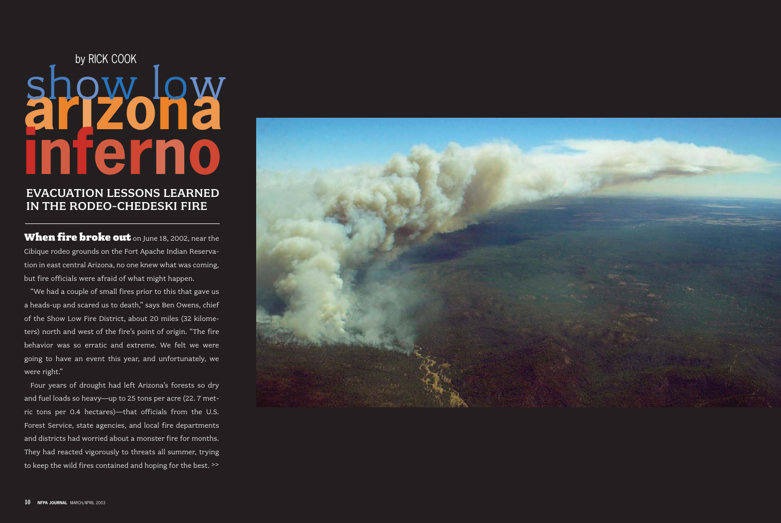#### EVACUATION LESSONS LEARNED IN THE RODEO-CHEDESKI FIRE

When fire broke out on June 18, 2002, near the Cibique rodeo grounds on the Fort Apache Indian Reservation in east central Arizona, no one knew what was coming, but fire officials were afraid of what might happen.

"We had a couple of small fires prior to this that gave us a heads-up and scared us to death," says Ben Owens, chief of the Show Low Fire District, about 20 miles (32 kilometers) north and west of the fire's point of origin. "The fire behavior was so erratic and extreme. We felt we were going to have an event this year, and unfortunately, we were right."

## **arizona** show low by RICK COOK **inferno**

Four years of drought had left Arizona's forests so dry and fuel loads so heavy—up to 25 tons per acre (22. 7 metric tons per 0.4 hectares)—that officials from the U.S. Forest Service, state agencies, and local fire departments and districts had worried about a monster fire for months. They had reacted vigorously to threats all summer, trying to keep the wild fires contained and hoping for the best. >>

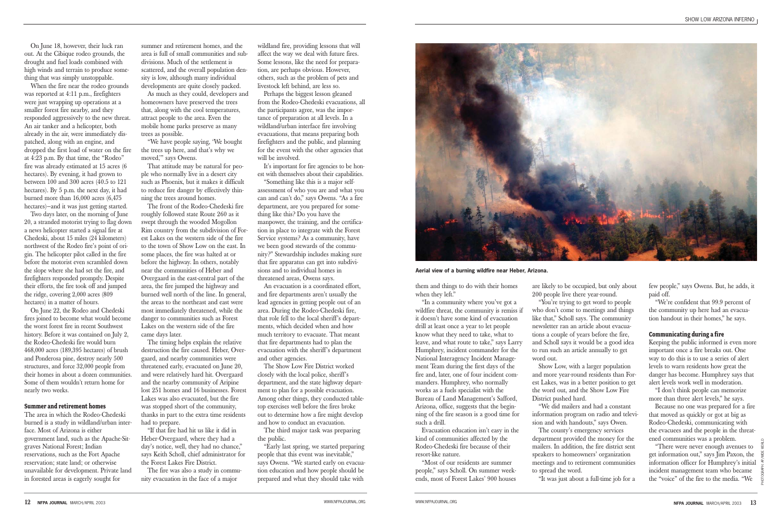them and things to do with their homes when they left."

"In a community where you've got a wildfire threat, the community is remiss if it doesn't have some kind of evacuation drill at least once a year to let people know what they need to take, what to leave, and what route to take," says Larry Humphrey, incident commander for the National Interagency Incident Management Team during the first days of the fire and, later, one of four incident commanders. Humphrey, who normally works as a fuels specialist with the Bureau of Land Management's Safford, Arizona, office, suggests that the beginning of the fire season is a good time for such a drill.

Evacuation education isn't easy in the kind of communities affected by the Rodeo-Chedeski fire because of their resort-like nature.

"Most of our residents are summer people," says Scholl. On summer weekends, most of Forest Lakes' 900 houses are likely to be occupied, but only about 200 people live there year-round.

"You're trying to get word to people who don't come to meetings and things like that," Scholl says. The community newsletter ran an article about evacuations a couple of years before the fire, and Scholl says it would be a good idea to run such an article annually to get word out.

Show Low, with a larger population and more year-round residents than Forest Lakes, was in a better position to get the word out, and the Show Low Fire District pushed hard.

"We did mailers and had a constant information program on radio and television and with handouts," says Owen.

The county's emergency services department provided the money for the mailers. In addition, the fire district sent speakers to homeowners' organization meetings and to retirement communities to spread the word.

"It was just about a full-time job for a

few people," says Owens. But, he adds, it paid off.

"We're confident that 99.9 percent of the community up here had an evacuation handout in their homes," he says.

#### **Communicating during a fire**

Keeping the public informed is even more important once a fire breaks out. One way to do this is to use a series of alert levels to warn residents how great the danger has become. Humphrey says that alert levels work well in moderation.

"I don't think people can memorize more than three alert levels," he says.

Because no one was prepared for a fire that moved as quickly or got at big as Rodeo-Chedeski, communicating with the evacuees and the people in the threatened communities was a problem.

"There were never enough avenues to get information out," says Jim Paxon, the information officer for Humphrey's initial incident management team who became the "voice" of the fire to the media. "We

PHOTOGRAPH: AP/WIDE WORLD



**Aerial view of a burning wildfire near Heber, Arizona.**

On June 18, however, their luck ran out. At the Cibique rodeo grounds, the drought and fuel loads combined with high winds and terrain to produce something that was simply unstoppable.

When the fire near the rodeo grounds was reported at 4:11 p.m., firefighters were just wrapping up operations at a smaller forest fire nearby, and they responded aggressively to the new threat. An air tanker and a helicopter, both already in the air, were immediately dispatched, along with an engine, and dropped the first load of water on the fire at 4:23 p.m. By that time, the "Rodeo" fire was already estimated at 15 acres (6 hectares). By evening, it had grown to between 100 and 300 acres (40.5 to 121 hectares). By 5 p.m. the next day, it had burned more than 16,000 acres (6,475 hectares)—and it was just getting started.

It's important for fire agencies to be honest with themselves about their capabilities.

Two days later, on the morning of June 20, a stranded motorist trying to flag down a news helicopter started a signal fire at Chedeski, about 15 miles (24 kilometers) northwest of the Rodeo fire's point of origin. The helicopter pilot called in the fire before the motorist even scrambled down the slope where she had set the fire, and firefighters responded promptly. Despite their efforts, the fire took off and jumped the ridge, covering 2,000 acres (809 hectares) in a matter of hours.

On June 22, the Rodeo and Chedeski fires joined to become what would become the worst forest fire in recent Southwest history. Before it was contained on July 2, the Rodeo-Chedeski fire would burn 468,000 acres (189,395 hectares) of brush and Ponderosa pine, destroy nearly 500 structures, and force 32,000 people from their homes in about a dozen communities. Some of them wouldn't return home for nearly two weeks.

#### **Summer and retirement homes**

The area in which the Rodeo-Chedeski burned is a study in wildland/urban interface. Most of Arizona is either government land, such as the Apache-Sitgraves National Forest; Indian reservations, such as the Fort Apache reservation; state land; or otherwise unavailable for development. Private land in forested areas is eagerly sought for

summer and retirement homes, and the area is full of small communities and subdivisions. Much of the settlement is scattered, and the overall population density is low, although many individual developments are quite closely packed.

As much as they could, developers and homeowners have preserved the trees that, along with the cool temperatures, attract people to the area. Even the mobile home parks preserve as many trees as possible.

"We have people saying, 'We bought the trees up here, and that's why we moved,'" says Owens.

That attitude may be natural for people who normally live in a desert city such as Phoenix, but it makes it difficult to reduce fire danger by effectively thinning the trees around homes.

The front of the Rodeo-Chedeski fire roughly followed state Route 260 as it swept through the wooded Mogollon Rim country from the subdivision of Forest Lakes on the western side of the fire to the town of Show Low on the east. In some places, the fire was halted at or before the highway. In others, notably near the communities of Heber and Overgaard in the east-central part of the area, the fire jumped the highway and burned well north of the line. In general, the areas to the northeast and east were most immediately threatened, while the danger to communities such as Forest Lakes on the western side of the fire came days later.

The timing helps explain the relative destruction the fire caused. Heber, Overgaard, and nearby communities were threatened early, evacuated on June 20, and were relatively hard hit. Overgaard and the nearby community of Aripine lost 251 homes and 16 businesses. Forest Lakes was also evacuated, but the fire was stopped short of the community, thanks in part to the extra time residents had to prepare.

"If that fire had hit us like it did in Heber-Overgaard, where they had a day's notice, well, they had no chance," says Keith Scholl, chief administrator for the Forest Lakes Fire District.

The fire was also a study in community evacuation in the face of a major

wildland fire, providing lessons that will affect the way we deal with future fires. Some lessons, like the need for preparation, are perhaps obvious. However, others, such as the problem of pets and livestock left behind, are less so.

Perhaps the biggest lesson gleaned from the Rodeo-Chedeski evacuations, all the participants agree, was the importance of preparation at all levels. In a wildland/urban interface fire involving evacuations, that means preparing both firefighters and the public, and planning for the event with the other agencies that will be involved.

"Something like this is a major selfassessment of who you are and what you can and can't do," says Owens. "As a fire department, are you prepared for something like this? Do you have the manpower, the training, and the certification in place to integrate with the Forest Service systems? As a community, have we been good stewards of the community?" Stewardship includes making sure that fire apparatus can get into subdivisions and to individual homes in threatened areas, Owens says.

An evacuation is a coordinated effort, and fire departments aren't usually the lead agencies in getting people out of an area. During the Rodeo-Chedeski fire, that role fell to the local sheriff's departments, which decided when and how much territory to evacuate. That meant that fire departments had to plan the evacuation with the sheriff's department and other agencies.

The Show Low Fire District worked closely with the local police, sheriff's department, and the state highway department to plan for a possible evacuation. Among other things, they conducted tabletop exercises well before the fires broke out to determine how a fire might develop and how to conduct an evacuation.

The third major task was preparing the public.

"Early last spring, we started preparing people that this event was inevitable," says Owens. "We started early on evacuation education and how people should be prepared and what they should take with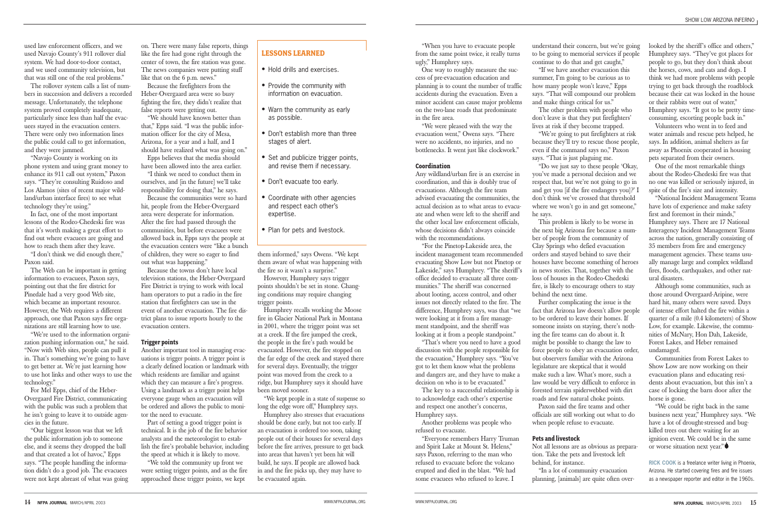"When you have to evacuate people from the same point twice, it really turns ugly," Humphrey says.

One way to roughly measure the success of pre-evacuation education and planning is to count the number of traffic accidents during the evacuation. Even a minor accident can cause major problems on the two-lane roads that predominate in the fire area.

"We were pleased with the way the evacuation went," Owens says. "There were no accidents, no injuries, and no bottlenecks. It went just like clockwork."

#### **Coordination**

Any wildland/urban fire is an exercise in coordination, and this is doubly true of evacuations. Although the fire team advised evacuating the communities, the actual decision as to what areas to evacuate and when were left to the sheriff and the other local law enforcement officials, whose decisions didn't always coincide with the recommendations.

"For the Pinetop-Lakeside area, the incident management team recommended evacuating Show Low but not Pinetop or Lakeside," says Humphrey. "The sheriff's office decided to evacuate all three communities." The sheriff was concerned about looting, access control, and other issues not directly related to the fire. The difference, Humphrey says, was that "we were looking at it from a fire management standpoint, and the sheriff was looking at it from a people standpoint."

"That's where you need to have a good discussion with the people responsible for the evacuation," Humphrey says. "You've got to let them know what the problems and dangers are, and they have to make a decision on who is to be evacuated."

The key to a successful relationship is to acknowledge each other's expertise and respect one another's concerns, Humphrey says.

Another problems was people who refused to evacuate.

"Everyone remembers Harry Truman and Spirit Lake at Mount St. Helens," says Paxon, referring to the man who refused to evacuate before the volcano erupted and died in the blast. "We had some evacuees who refused to leave. I

understand their concern, but we're going to be going to memorial services if people continue to do that and get caught," "If we have another evacuation this summer. I'm going to be curious as to how many people won't leave," Epps says. "That will compound our problem and make things critical for us."

The other problem with people who don't leave is that they put firefighters' lives at risk if they become trapped.

"We're going to put firefighters at risk because they'll try to rescue those people, even if the command says no," Paxon says. "That is just plaguing me.

"Do we just say to these people 'Okay, you've made a personal decision and we respect that, but we're not going to go in and get you [if the fire endangers you]?' I don't think we've crossed that threshold where we won't go in and get someone," he says.

This problem is likely to be worse in the next big Arizona fire because a number of people from the community of Clay Springs who defied evacuation orders and stayed behind to save their houses have become something of heroes in news stories. That, together with the loss of houses in the Rodeo-Chedeski fire, is likely to encourage others to stay behind the next time.

Further complicating the issue is the fact that Arizona law doesn't allow people to be ordered to leave their homes. If someone insists on staying, there's nothing the fire teams can do about it. It might be possible to change the law to force people to obey an evacuation order, but observers familiar with the Arizona legislature are skeptical that it would make such a law. What's more, such a law would be very difficult to enforce in forested terrain spiderwebbed with dirt roads and few natural choke points. Paxon said the fire teams and other officials are still working out what to do when people refuse to evacuate.

#### **Pets and livestock**

Not all lessons are as obvious as preparation. Take the pets and livestock left behind, for instance.

"In a lot of community evacuation planning, [animals] are quite often over-

looked by the sheriff's office and others," Humphrey says. "They've got places for people to go, but they don't think about the horses, cows, and cats and dogs. I think we had more problems with people trying to get back through the roadblock because their cat was locked in the house or their rabbits were out of water," Humphrey says. "It got to be pretty timeconsuming, escorting people back in."

Volunteers who went in to feed and water animals and rescue pets helped, he says. In addition, animal shelters as far away as Phoenix cooperated in housing pets separated from their owners.

One of the most remarkable things about the Rodeo-Chedeski fire was that no one was killed or seriously injured, in spite of the fire's size and intensity.

"National Incident Management Teams have lots of experience and make safety first and foremost in their minds," Humphrey says. There are 17 National Interagency Incident Management Teams across the nation, generally consisting of 35 members from fire and emergency management agencies. These teams usually manage large and complex wildland fires, floods, earthquakes, and other natural disasters.

Although some communities, such as those around Overgaard-Aripine, were hard hit, many others were saved. Days of intense effort halted the fire within a quarter of a mile (0.4 kilometers) of Show Low, for example. Likewise, the communities of McNary, Hon Dah, Lakeside, Forest Lakes, and Heber remained undamaged.

Communities from Forest Lakes to Show Low are now working on their evacuation plans and educating residents about evacuation, but this isn't a case of locking the barn door after the horse is gone.

"We could be right back in the same business next year," Humphrey says. "We have a lot of drought-stressed and bugkilled trees out there waiting for an ignition event. We could be in the same or worse situation next year."

**RICK COOK** is a freelance writer living in Phoenix, Arizona. He started covering fires and fire issues as a newspaper reporter and editor in the 1960s.

used law enforcement officers, and we used Navajo County's 911 rollover dial system. We had door-to-door contact, and we used community television, but that was still one of the real problems."

The rollover system calls a list of numbers in succession and delivers a recorded message. Unfortunately, the telephone system proved completely inadequate, particularly since less than half the evacuees stayed in the evacuation centers. There were only two information lines the public could call to get information, and they were jammed.

"Navajo County is working on its phone system and using grant money to enhance its 911 call out system," Paxon says. "They're consulting Ruidoso and Los Alamos (sites of recent major wildland/urban interface fires) to see what technology they're using."

In fact, one of the most important lessons of the Rodeo-Chedeski fire was that it's worth making a great effort to find out where evacuees are going and how to reach them after they leave.

"I don't think we did enough there," Paxon said.

The Web can be important in getting information to evacuees, Paxon says, pointing out that the fire district for Pinedale had a very good Web site, which became an important resource. However, the Web requires a different approach, one that Paxon says fire organizations are still learning how to use.

"We're used to the information organization pushing information out," he said. "Now with Web sites, people can pull it in. That's something we're going to have to get better at. We're just learning how to use hot links and other ways to use the technology."

For Mel Epps, chief of the Heber-Overgaard Fire District, communicating with the public was such a problem that he isn't going to leave it to outside agencies in the future.

"Our biggest lesson was that we left the public information job to someone else, and it seems they dropped the ball and that created a lot of havoc," Epps says. "The people handling the information didn't do a good job. The evacuees were not kept abreast of what was going

on. There were many false reports, things like the fire had gone right through the center of town, the fire station was gone. The news companies were putting stuff like that on the 6 p.m. news."

Because the firefighters from the Heber-Overgaard area were so busy fighting the fire, they didn't realize that false reports were getting out.

"We should have known better than that," Epps said. "I was the public information officer for the city of Mesa, Arizona, for a year and a half, and I should have realized what was going on."

Epps believes that the media should have been allowed into the area earlier.

"I think we need to conduct them in ourselves, and [in the future] we'll take responsibility for doing that," he says.

Because the communities were so hard hit, people from the Heber-Overgaard area were desperate for information. After the fire had passed through the communities, but before evacuees were allowed back in, Epps says the people at the evacuation centers were "like a bunch of children, they were so eager to find out what was happening."

Because the towns don't have local television stations, the Heber-Overgaard Fire District is trying to work with local ham operators to put a radio in the fire station that firefighters can use in the event of another evacuation. The fire district plans to issue reports hourly to the evacuation centers.

#### **Trigger points**

Another important tool in managing evacuations is trigger points. A trigger point is a clearly defined location or landmark with which residents are familiar and against which they can measure a fire's progress. Using a landmark as a trigger point helps everyone gauge when an evacuation will be ordered and allows the public to monitor the need to evacuate.

Part of setting a good trigger point is technical. It is the job of the fire behavior analysts and the meteorologist to establish the fire's probable behavior, including the speed at which it is likely to move.

"We told the community up front we were setting trigger points, and as the fire approached these trigger points, we kept

them informed," says Owens. "We kept them aware of what was happening with the fire so it wasn't a surprise."

However, Humphrey says trigger points shouldn't be set in stone. Changing conditions may require changing trigger points.

Humphrey recalls working the Moose fire in Glacier National Park in Montana in 2001, where the trigger point was set at a creek. If the fire jumped the creek, the people in the fire's path would be evacuated. However, the fire stopped on the far edge of the creek and stayed there for several days. Eventually, the trigger point was moved from the creek to a ridge, but Humphrey says it should have been moved sooner.

"We kept people in a state of suspense so long the edge wore off," Humphrey says.

Humphrey also stresses that evacuations should be done early, but not too early. If an evacuation is ordered too soon, taking people out of their houses for several days before the fire arrives, pressure to get back into areas that haven't yet been hit will build, he says. If people are allowed back in and the fire picks up, they may have to be evacuated again.

#### **LESSONS LEARNED**

- Hold drills and exercises.
- Provide the community with information on evacuation.
- Warn the community as early as possible.
- Don't establish more than three stages of alert.
- Set and publicize trigger points, and revise them if necessary.
- Don't evacuate too early.
- Coordinate with other agencies and respect each other's expertise.
- Plan for pets and livestock.